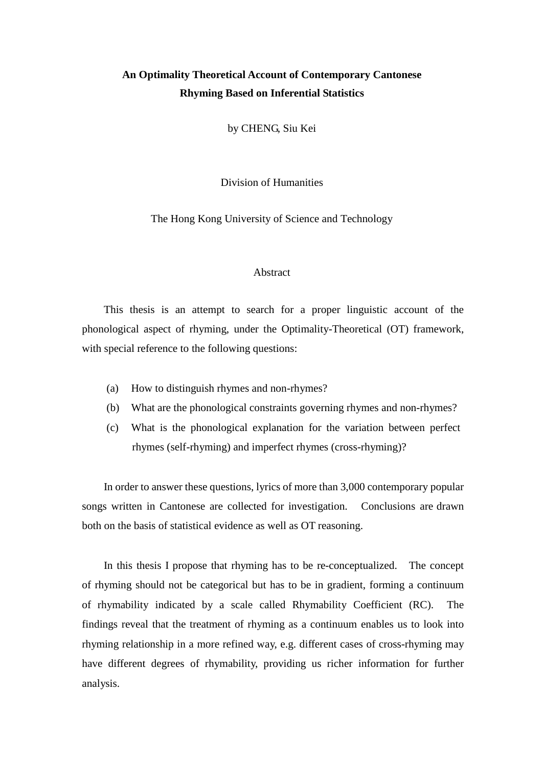## **An Optimality Theoretical Account of Contemporary Cantonese Rhyming Based on Inferential Statistics**

by CHENG, Siu Kei

Division of Humanities

The Hong Kong University of Science and Technology

## Abstract

This thesis is an attempt to search for a proper linguistic account of the phonological aspect of rhyming, under the Optimality-Theoretical (OT) framework, with special reference to the following questions:

- (a) How to distinguish rhymes and non-rhymes?
- (b) What are the phonological constraints governing rhymes and non-rhymes?
- (c) What is the phonological explanation for the variation between perfect rhymes (self-rhyming) and imperfect rhymes (cross-rhyming)?

In order to answer these questions, lyrics of more than 3,000 contemporary popular songs written in Cantonese are collected for investigation. Conclusions are drawn both on the basis of statistical evidence as well as OT reasoning.

In this thesis I propose that rhyming has to be re-conceptualized. The concept of rhyming should not be categorical but has to be in gradient, forming a continuum of rhymability indicated by a scale called Rhymability Coefficient (RC). The findings reveal that the treatment of rhyming as a continuum enables us to look into rhyming relationship in a more refined way, e.g. different cases of cross-rhyming may have different degrees of rhymability, providing us richer information for further analysis.